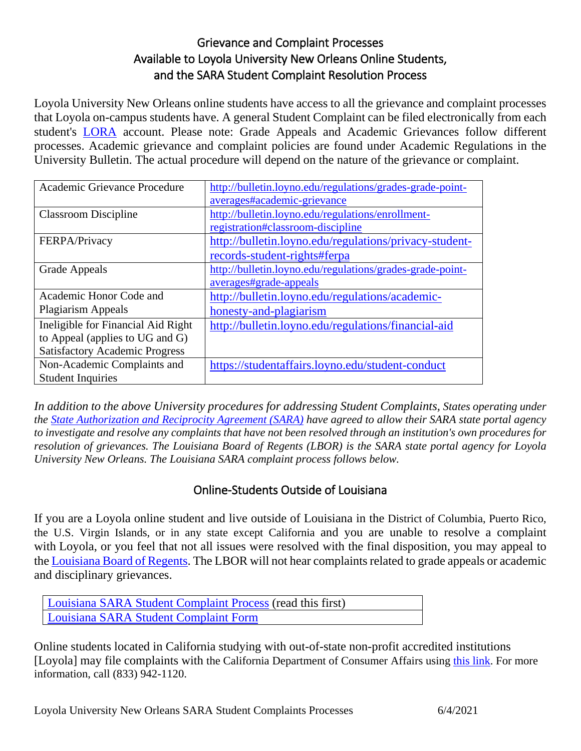## Grievance and Complaint Processes Available to Loyola University New Orleans Online Students, and the SARA Student Complaint Resolution Process

Loyola University New Orleans online students have access to all the grievance and complaint processes that Loyola on-campus students have. A general Student Complaint can be filed electronically from each student's [LORA](https://lora.loyno.edu/) account. Please note: Grade Appeals and Academic Grievances follow different processes. Academic grievance and complaint policies are found under Academic Regulations in the University Bulletin. The actual procedure will depend on the nature of the grievance or complaint.

| Academic Grievance Procedure          | http://bulletin.loyno.edu/regulations/grades-grade-point- |
|---------------------------------------|-----------------------------------------------------------|
|                                       | averages#academic-grievance                               |
| <b>Classroom Discipline</b>           | http://bulletin.loyno.edu/regulations/enrollment-         |
|                                       | registration#classroom-discipline                         |
| FERPA/Privacy                         | http://bulletin.loyno.edu/regulations/privacy-student-    |
|                                       | records-student-rights#ferpa                              |
| Grade Appeals                         | http://bulletin.loyno.edu/regulations/grades-grade-point- |
|                                       | averages#grade-appeals                                    |
| Academic Honor Code and               | http://bulletin.loyno.edu/regulations/academic-           |
| <b>Plagiarism Appeals</b>             | honesty-and-plagiarism                                    |
| Ineligible for Financial Aid Right    | http://bulletin.loyno.edu/regulations/financial-aid       |
| to Appeal (applies to UG and G)       |                                                           |
| <b>Satisfactory Academic Progress</b> |                                                           |
| Non-Academic Complaints and           | https://studentaffairs.loyno.edu/student-conduct          |
| <b>Student Inquiries</b>              |                                                           |

*In addition to the above University procedures for addressing Student Complaints, States operating under the State Authorization [and Reciprocity Agreement \(SARA\)](https://www.nc-sara.org/content/sara-and-students) have agreed to allow their SARA state portal agency to investigate and resolve any complaints that have not been resolved through an institution's own procedures for resolution of grievances. The Louisiana Board of Regents (LBOR) is the SARA state portal agency for Loyola University New Orleans. The Louisiana SARA complaint process follows below.*

## Online-Students Outside of Louisiana

If you are a Loyola online student and live outside of Louisiana in the District of Columbia, Puerto Rico, the U.S. Virgin Islands, or in any state except California and you are unable to resolve a complaint with Loyola, or you feel that not all issues were resolved with the final disposition, you may appeal to the [Louisiana Board of Regents.](https://regents.la.gov/divisions/planning-research-and-academic-affairs/institutional-licensure/sara/) The LBOR will not hear complaints related to grade appeals or academic and disciplinary grievances.

| Louisiana SARA Student Complaint Process (read this first) |  |
|------------------------------------------------------------|--|
| Louisiana SARA Student Complaint Form                      |  |

Online students located in California studying with out-of-state non-profit accredited institutions [Loyola] may file complaints with the California Department of Consumer Affairs using [this link.](https://www.dca.ca.gov/consumers/complaints/oos_students.shtml) For more information, call (833) 942-1120.